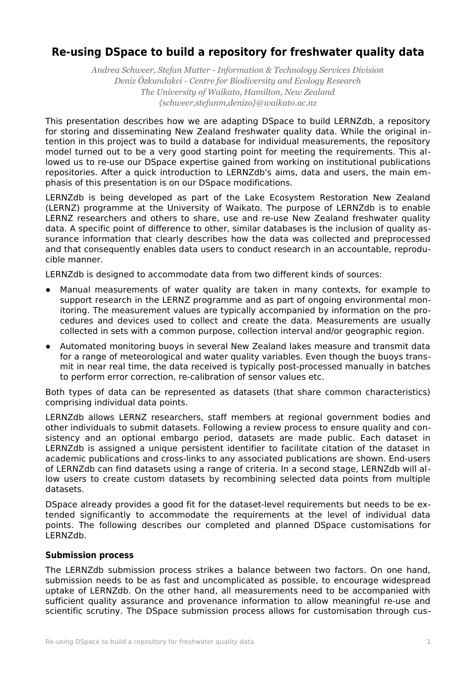## **Re-using DSpace to build a repository for freshwater quality data**

*Andrea Schweer, Stefan Mutter - Information & Technology Services Division Deniz Özkundakci - Centre for Biodiversity and Ecology Research The University of Waikato, Hamilton, New Zealand {schweer,stefanm,denizo}@waikato.ac.nz*

This presentation describes how we are adapting DSpace to build LERNZdb, a repository for storing and disseminating New Zealand freshwater quality data. While the original intention in this project was to build a database for individual measurements, the repository model turned out to be a very good starting point for meeting the requirements. This allowed us to re-use our DSpace expertise gained from working on institutional publications repositories. After a quick introduction to LERNZdb's aims, data and users, the main emphasis of this presentation is on our DSpace modifications.

LERNZdb is being developed as part of the Lake Ecosystem Restoration New Zealand (LERNZ) programme at the University of Waikato. The purpose of LERNZdb is to enable LERNZ researchers and others to share, use and re-use New Zealand freshwater quality data. A specific point of difference to other, similar databases is the inclusion of quality assurance information that clearly describes how the data was collected and preprocessed and that consequently enables data users to conduct research in an accountable, reproducible manner.

LERNZdb is designed to accommodate data from two different kinds of sources:

- Manual measurements of water quality are taken in many contexts, for example to support research in the LERNZ programme and as part of ongoing environmental monitoring. The measurement values are typically accompanied by information on the procedures and devices used to collect and create the data. Measurements are usually collected in sets with a common purpose, collection interval and/or geographic region.
- Automated monitoring buoys in several New Zealand lakes measure and transmit data for a range of meteorological and water quality variables. Even though the buoys transmit in near real time, the data received is typically post-processed manually in batches to perform error correction, re-calibration of sensor values etc.

Both types of data can be represented as datasets (that share common characteristics) comprising individual data points.

LERNZdb allows LERNZ researchers, staff members at regional government bodies and other individuals to submit datasets. Following a review process to ensure quality and consistency and an optional embargo period, datasets are made public. Each dataset in LERNZdb is assigned a unique persistent identifier to facilitate citation of the dataset in academic publications and cross-links to any associated publications are shown. End-users of LERNZdb can find datasets using a range of criteria. In a second stage, LERNZdb will allow users to create custom datasets by recombining selected data points from multiple datasets.

DSpace already provides a good fit for the dataset-level requirements but needs to be extended significantly to accommodate the requirements at the level of individual data points. The following describes our completed and planned DSpace customisations for LERNZdb.

## **Submission process**

The LERNZdb submission process strikes a balance between two factors. On one hand, submission needs to be as fast and uncomplicated as possible, to encourage widespread uptake of LERNZdb. On the other hand, all measurements need to be accompanied with sufficient quality assurance and provenance information to allow meaningful re-use and scientific scrutiny. The DSpace submission process allows for customisation through cus